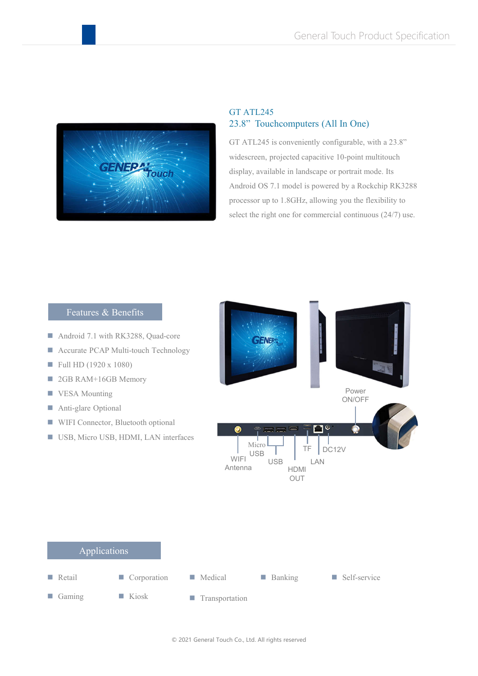

## GT ATL245 23.8" Touchcomputers (All In One)

GT ATL245 is conveniently configurable, with a 23.8" widescreen, projected capacitive 10-point multitouch display, available in landscape or portrait mode. Its Android OS 7.1 model is powered by a Rockchip RK3288 processor up to 1.8GHz, allowing you the flexibility to select the right one for commercial continuous (24/7) use.

## Features & Benefits

- Android 7.1 with RK3288, Quad-core
- **Accurate PCAP Multi-touch Technology**
- $\blacksquare$  Full HD (1920 x 1080)
- 2GB RAM+16GB Memory
- **VESA Mounting**
- Anti-glare Optional
- **WIFI Connector, Bluetooth optional**
- USB, Micro USB, HDMI, LAN interfaces



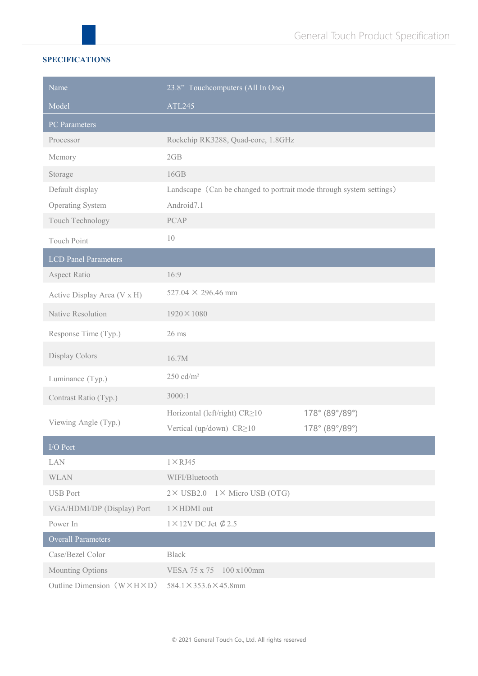## **SPECIFICATIONS**

| Name                                      | 23.8" Touchcomputers (All In One)                                   |                |  |
|-------------------------------------------|---------------------------------------------------------------------|----------------|--|
| Model                                     | ATL245                                                              |                |  |
| <b>PC</b> Parameters                      |                                                                     |                |  |
| Processor                                 | Rockchip RK3288, Quad-core, 1.8GHz                                  |                |  |
| Memory                                    | 2GB                                                                 |                |  |
| Storage                                   | 16GB                                                                |                |  |
| Default display                           | Landscape (Can be changed to portrait mode through system settings) |                |  |
| Operating System                          | Android7.1                                                          |                |  |
| Touch Technology                          | <b>PCAP</b>                                                         |                |  |
| Touch Point                               | 10                                                                  |                |  |
| <b>LCD</b> Panel Parameters               |                                                                     |                |  |
| Aspect Ratio                              | 16:9                                                                |                |  |
| Active Display Area (V x H)               | 527.04 $\times$ 296.46 mm                                           |                |  |
| Native Resolution                         | $1920 \times 1080$                                                  |                |  |
| Response Time (Typ.)                      | $26$ ms                                                             |                |  |
| Display Colors                            | 16.7M                                                               |                |  |
| Luminance (Typ.)                          | $250 \text{ cd/m}^2$                                                |                |  |
| Contrast Ratio (Typ.)                     | 3000:1                                                              |                |  |
| Viewing Angle (Typ.)                      | Horizontal (left/right) CR≥10                                       | 178° (89°/89°) |  |
|                                           | Vertical (up/down) CR≥10                                            | 178° (89°/89°) |  |
| I/O Port                                  |                                                                     |                |  |
| LAN                                       | $1 \times RJ45$                                                     |                |  |
| <b>WLAN</b>                               | WIFI/Bluetooth                                                      |                |  |
| <b>USB Port</b>                           | 2× USB2.0 1× Micro USB (OTG)                                        |                |  |
| VGA/HDMI/DP (Display) Port                | $1 \times$ HDMI out                                                 |                |  |
| Power In                                  | $1 \times 12$ V DC Jet $\emptyset$ 2.5                              |                |  |
| Overall Parameters                        |                                                                     |                |  |
| Case/Bezel Color                          | <b>Black</b>                                                        |                |  |
| Mounting Options                          | VESA 75 x 75 100 x100mm                                             |                |  |
| Outline Dimension $(W \times H \times D)$ | $584.1 \times 353.6 \times 45.8$ mm                                 |                |  |